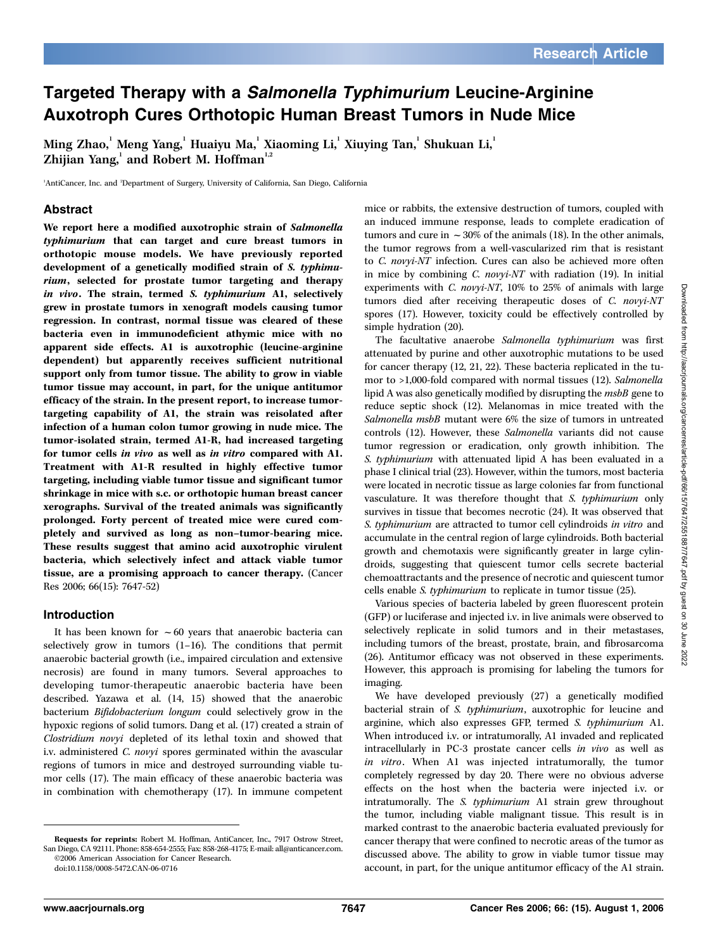# Targeted Therapy with a Salmonella Typhimurium Leucine-Arginine Auxotroph Cures Orthotopic Human Breast Tumors in Nude Mice

Ming Zhao, $^{\rm l}$  Meng Yang, $^{\rm l}$  Huaiyu Ma, $^{\rm l}$  Xiaoming Li, $^{\rm l}$  Xiuying Tan, $^{\rm l}$  Shukuan Li, $^{\rm l}$ Zhijian Yang, and Robert M. Hoffman<sup>1,2</sup>

<sup>1</sup>AntiCancer, Inc. and <sup>2</sup>Department of Surgery, University of California, San Diego, California

### Abstract

We report here a modified auxotrophic strain of Salmonella typhimurium that can target and cure breast tumors in orthotopic mouse models. We have previously reported development of a genetically modified strain of S. typhimurium, selected for prostate tumor targeting and therapy in vivo. The strain, termed S. typhimurium A1, selectively grew in prostate tumors in xenograft models causing tumor regression. In contrast, normal tissue was cleared of these bacteria even in immunodeficient athymic mice with no apparent side effects. A1 is auxotrophic (leucine-arginine dependent) but apparently receives sufficient nutritional support only from tumor tissue. The ability to grow in viable tumor tissue may account, in part, for the unique antitumor efficacy of the strain. In the present report, to increase tumortargeting capability of A1, the strain was reisolated after infection of a human colon tumor growing in nude mice. The tumor-isolated strain, termed A1-R, had increased targeting for tumor cells in vivo as well as in vitro compared with A1. Treatment with A1-R resulted in highly effective tumor targeting, including viable tumor tissue and significant tumor shrinkage in mice with s.c. or orthotopic human breast cancer xerographs. Survival of the treated animals was significantly prolonged. Forty percent of treated mice were cured completely and survived as long as non–tumor-bearing mice. These results suggest that amino acid auxotrophic virulent bacteria, which selectively infect and attack viable tumor tissue, are a promising approach to cancer therapy. (Cancer Res 2006; 66(15): 7647-52)

#### Introduction

It has been known for  $\sim 60$  years that anaerobic bacteria can selectively grow in tumors (1–16). The conditions that permit anaerobic bacterial growth (i.e., impaired circulation and extensive necrosis) are found in many tumors. Several approaches to developing tumor-therapeutic anaerobic bacteria have been described. Yazawa et al. (14, 15) showed that the anaerobic bacterium Bifidobacterium longum could selectively grow in the hypoxic regions of solid tumors. Dang et al. (17) created a strain of Clostridium novyi depleted of its lethal toxin and showed that i.v. administered C. novyi spores germinated within the avascular regions of tumors in mice and destroyed surrounding viable tumor cells (17). The main efficacy of these anaerobic bacteria was in combination with chemotherapy (17). In immune competent

mice or rabbits, the extensive destruction of tumors, coupled with an induced immune response, leads to complete eradication of tumors and cure in  $\sim$  30% of the animals (18). In the other animals, the tumor regrows from a well-vascularized rim that is resistant to C. novyi-NT infection. Cures can also be achieved more often in mice by combining C. novyi-NT with radiation (19). In initial experiments with C. novyi-NT, 10% to 25% of animals with large tumors died after receiving therapeutic doses of C. novvi-NT spores (17). However, toxicity could be effectively controlled by simple hydration (20).

The facultative anaerobe Salmonella typhimurium was first attenuated by purine and other auxotrophic mutations to be used for cancer therapy (12, 21, 22). These bacteria replicated in the tumor to >1,000-fold compared with normal tissues (12). Salmonella lipid A was also genetically modified by disrupting the *msbB* gene to reduce septic shock (12). Melanomas in mice treated with the Salmonella msbB mutant were 6% the size of tumors in untreated controls (12). However, these Salmonella variants did not cause tumor regression or eradication, only growth inhibition. The S. typhimurium with attenuated lipid A has been evaluated in a phase I clinical trial (23). However, within the tumors, most bacteria were located in necrotic tissue as large colonies far from functional vasculature. It was therefore thought that S. typhimurium only survives in tissue that becomes necrotic (24). It was observed that S. typhimurium are attracted to tumor cell cylindroids in vitro and accumulate in the central region of large cylindroids. Both bacterial growth and chemotaxis were significantly greater in large cylindroids, suggesting that quiescent tumor cells secrete bacterial chemoattractants and the presence of necrotic and quiescent tumor cells enable S. typhimurium to replicate in tumor tissue (25).

Various species of bacteria labeled by green fluorescent protein (GFP) or luciferase and injected i.v. in live animals were observed to selectively replicate in solid tumors and in their metastases, including tumors of the breast, prostate, brain, and fibrosarcoma (26). Antitumor efficacy was not observed in these experiments. However, this approach is promising for labeling the tumors for imaging.

We have developed previously (27) a genetically modified bacterial strain of S. typhimurium, auxotrophic for leucine and arginine, which also expresses GFP, termed S. typhimurium A1. When introduced i.v. or intratumorally, A1 invaded and replicated intracellularly in PC-3 prostate cancer cells in vivo as well as in vitro. When A1 was injected intratumorally, the tumor completely regressed by day 20. There were no obvious adverse effects on the host when the bacteria were injected i.v. or intratumorally. The S. typhimurium A1 strain grew throughout the tumor, including viable malignant tissue. This result is in marked contrast to the anaerobic bacteria evaluated previously for cancer therapy that were confined to necrotic areas of the tumor as discussed above. The ability to grow in viable tumor tissue may account, in part, for the unique antitumor efficacy of the A1 strain.

Requests for reprints: Robert M. Hoffman, AntiCancer, Inc., 7917 Ostrow Street, San Diego, CA 92111. Phone: 858-654-2555; Fax: 858-268-4175; E-mail: all@anticancer.com. ©2006 American Association for Cancer Research.

doi:10.1158/0008-5472.CAN-06-0716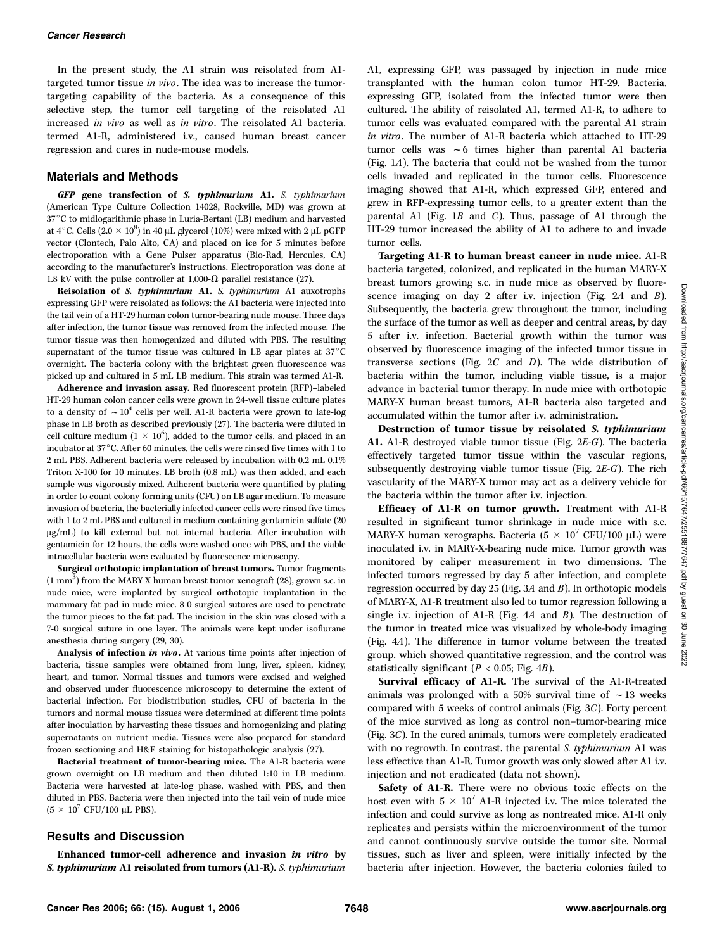In the present study, the A1 strain was reisolated from A1 targeted tumor tissue in vivo. The idea was to increase the tumortargeting capability of the bacteria. As a consequence of this selective step, the tumor cell targeting of the reisolated A1 increased in vivo as well as in vitro. The reisolated A1 bacteria, termed A1-R, administered i.v., caused human breast cancer regression and cures in nude-mouse models.

#### Materials and Methods

GFP gene transfection of S. typhimurium A1. S. typhimurium (American Type Culture Collection 14028, Rockville, MD) was grown at 37°C to midlogarithmic phase in Luria-Bertani (LB) medium and harvested at 4°C. Cells (2.0  $\times$  10<sup>8</sup>) in 40 µL glycerol (10%) were mixed with 2 µL pGFP vector (Clontech, Palo Alto, CA) and placed on ice for 5 minutes before electroporation with a Gene Pulser apparatus (Bio-Rad, Hercules, CA) according to the manufacturer's instructions. Electroporation was done at 1.8 kV with the pulse controller at 1,000- $\Omega$  parallel resistance (27).

Reisolation of S. typhimurium A1. S. typhimurium A1 auxotrophs expressing GFP were reisolated as follows: the A1 bacteria were injected into the tail vein of a HT-29 human colon tumor-bearing nude mouse. Three days after infection, the tumor tissue was removed from the infected mouse. The tumor tissue was then homogenized and diluted with PBS. The resulting supernatant of the tumor tissue was cultured in LB agar plates at  $37^{\circ}$ C overnight. The bacteria colony with the brightest green fluorescence was picked up and cultured in 5 mL LB medium. This strain was termed A1-R.

Adherence and invasion assay. Red fluorescent protein (RFP)–labeled HT-29 human colon cancer cells were grown in 24-well tissue culture plates to a density of  $\sim 10^4$  cells per well. A1-R bacteria were grown to late-log phase in LB broth as described previously (27). The bacteria were diluted in cell culture medium  $(1 \times 10^6)$ , added to the tumor cells, and placed in an incubator at 37 $^{\circ}$ C. After 60 minutes, the cells were rinsed five times with 1 to 2 mL PBS. Adherent bacteria were released by incubation with 0.2 mL 0.1% Triton X-100 for 10 minutes. LB broth (0.8 mL) was then added, and each sample was vigorously mixed. Adherent bacteria were quantified by plating in order to count colony-forming units (CFU) on LB agar medium. To measure invasion of bacteria, the bacterially infected cancer cells were rinsed five times with 1 to 2 mL PBS and cultured in medium containing gentamicin sulfate (20  $\mu$ g/mL) to kill external but not internal bacteria. After incubation with gentamicin for 12 hours, the cells were washed once wih PBS, and the viable intracellular bacteria were evaluated by fluorescence microscopy.

Surgical orthotopic implantation of breast tumors. Tumor fragments  $(1 \text{ mm}^3)$  from the MARY-X human breast tumor xenograft (28), grown s.c. in nude mice, were implanted by surgical orthotopic implantation in the mammary fat pad in nude mice. 8-0 surgical sutures are used to penetrate the tumor pieces to the fat pad. The incision in the skin was closed with a 7-0 surgical suture in one layer. The animals were kept under isoflurane anesthesia during surgery (29, 30).

Analysis of infection in vivo. At various time points after injection of bacteria, tissue samples were obtained from lung, liver, spleen, kidney, heart, and tumor. Normal tissues and tumors were excised and weighed and observed under fluorescence microscopy to determine the extent of bacterial infection. For biodistribution studies, CFU of bacteria in the tumors and normal mouse tissues were determined at different time points after inoculation by harvesting these tissues and homogenizing and plating supernatants on nutrient media. Tissues were also prepared for standard frozen sectioning and H&E staining for histopathologic analysis (27).

Bacterial treatment of tumor-bearing mice. The A1-R bacteria were grown overnight on LB medium and then diluted 1:10 in LB medium. Bacteria were harvested at late-log phase, washed with PBS, and then diluted in PBS. Bacteria were then injected into the tail vein of nude mice  $(5 \times 10^7 \text{ CFU}/100 \text{ }\mu\text{L} \text{ PBS}).$ 

## Results and Discussion

Enhanced tumor-cell adherence and invasion in vitro by S. typhimurium A1 reisolated from tumors (A1-R). S. typhimurium A1, expressing GFP, was passaged by injection in nude mice transplanted with the human colon tumor HT-29. Bacteria, expressing GFP, isolated from the infected tumor were then cultured. The ability of reisolated A1, termed A1-R, to adhere to tumor cells was evaluated compared with the parental A1 strain in vitro. The number of A1-R bacteria which attached to HT-29 tumor cells was  $\sim$  6 times higher than parental A1 bacteria (Fig. 1A). The bacteria that could not be washed from the tumor cells invaded and replicated in the tumor cells. Fluorescence imaging showed that A1-R, which expressed GFP, entered and grew in RFP-expressing tumor cells, to a greater extent than the parental A1 (Fig. 1B and C). Thus, passage of A1 through the HT-29 tumor increased the ability of A1 to adhere to and invade tumor cells.

Targeting A1-R to human breast cancer in nude mice. A1-R bacteria targeted, colonized, and replicated in the human MARY-X breast tumors growing s.c. in nude mice as observed by fluorescence imaging on day 2 after i.v. injection (Fig. 2A and B). Subsequently, the bacteria grew throughout the tumor, including the surface of the tumor as well as deeper and central areas, by day 5 after i.v. infection. Bacterial growth within the tumor was observed by fluorescence imaging of the infected tumor tissue in transverse sections (Fig.  $2C$  and  $D$ ). The wide distribution of bacteria within the tumor, including viable tissue, is a major advance in bacterial tumor therapy. In nude mice with orthotopic MARY-X human breast tumors, A1-R bacteria also targeted and accumulated within the tumor after i.v. administration.

Destruction of tumor tissue by reisolated S. typhimurium A1. A1-R destroyed viable tumor tissue (Fig. 2E-G). The bacteria effectively targeted tumor tissue within the vascular regions, subsequently destroying viable tumor tissue (Fig. 2E-G). The rich vascularity of the MARY-X tumor may act as a delivery vehicle for the bacteria within the tumor after i.v. injection.

Efficacy of A1-R on tumor growth. Treatment with A1-R resulted in significant tumor shrinkage in nude mice with s.c. MARY-X human xerographs. Bacteria  $(5 \times 10^7 \text{ CFU}/100 \text{ }\mu\text{L})$  were inoculated i.v. in MARY-X-bearing nude mice. Tumor growth was monitored by caliper measurement in two dimensions. The infected tumors regressed by day 5 after infection, and complete regression occurred by day 25 (Fig. 3A and B). In orthotopic models of MARY-X, A1-R treatment also led to tumor regression following a single i.v. injection of A1-R (Fig.  $4A$  and  $B$ ). The destruction of the tumor in treated mice was visualized by whole-body imaging (Fig. 4A). The difference in tumor volume between the treated group, which showed quantitative regression, and the control was statistically significant ( $P < 0.05$ ; Fig. 4B).

Survival efficacy of A1-R. The survival of the A1-R-treated animals was prolonged with a 50% survival time of  $\sim$  13 weeks compared with 5 weeks of control animals (Fig. 3C). Forty percent of the mice survived as long as control non–tumor-bearing mice (Fig. 3C). In the cured animals, tumors were completely eradicated with no regrowth. In contrast, the parental S. typhimurium A1 was less effective than A1-R. Tumor growth was only slowed after A1 i.v. injection and not eradicated (data not shown).

Safety of A1-R. There were no obvious toxic effects on the host even with  $5 \times 10^7$  A1-R injected i.v. The mice tolerated the infection and could survive as long as nontreated mice. A1-R only replicates and persists within the microenvironment of the tumor and cannot continuously survive outside the tumor site. Normal tissues, such as liver and spleen, were initially infected by the bacteria after injection. However, the bacteria colonies failed to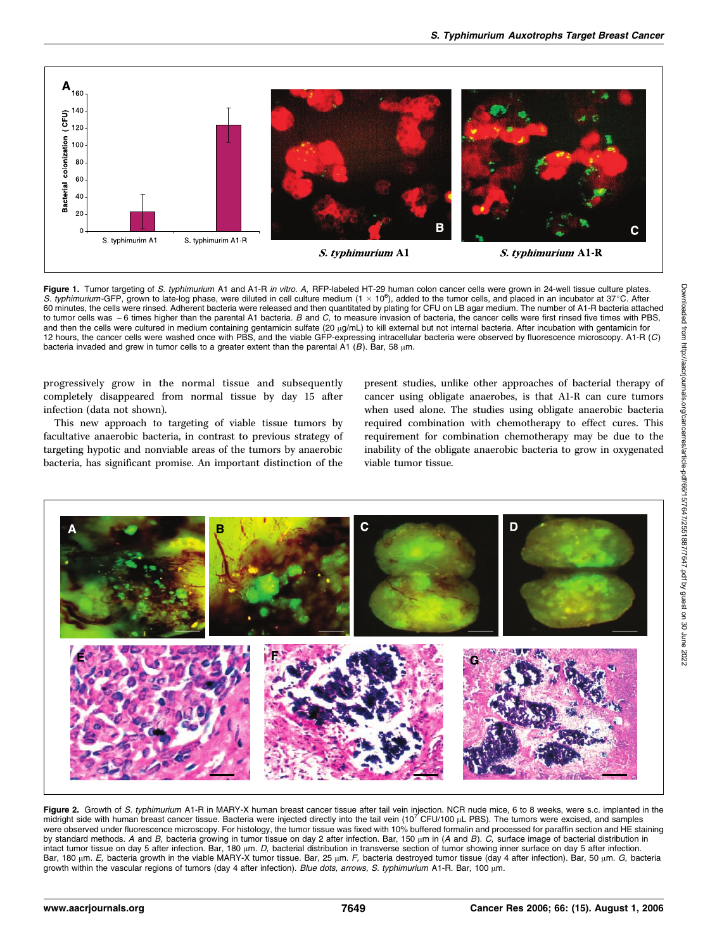

Figure 1. Tumor targeting of S. typhimurium A1 and A1-R in vitro. A, RFP-labeled HT-29 human colon cancer cells were grown in 24-well tissue culture plates. S. typhimurium-GFP, grown to late-log phase, were diluted in cell culture medium  $(1 \times 10^6)$ , added to the tumor cells, and placed in an incubator at 37°C. After 60 minutes, the cells were rinsed. Adherent bacteria were released and then quantitated by plating for CFU on LB agar medium. The number of A1-R bacteria attached<br>60 minutes, the cells were rinsed. Adherent bacteria were r to tumor cells was  $\sim$  6 times higher than the parental A1 bacteria. B and C, to measure invasion of bacteria, the cancer cells were first rinsed five times with PBS, and then the cells were cultured in medium containing gentamicin sulfate (20  $\mu$ g/mL) to kill external but not internal bacteria. After incubation with gentamicin for 12 hours, the cancer cells were washed once with PBS, and the viable GFP-expressing intracellular bacteria were observed by fluorescence microscopy. A1-R (C) bacteria invaded and grew in tumor cells to a greater extent than the parental A1 (B). Bar, 58  $\mu$ m.

progressively grow in the normal tissue and subsequently completely disappeared from normal tissue by day 15 after infection (data not shown).

This new approach to targeting of viable tissue tumors by facultative anaerobic bacteria, in contrast to previous strategy of targeting hypotic and nonviable areas of the tumors by anaerobic bacteria, has significant promise. An important distinction of the

present studies, unlike other approaches of bacterial therapy of cancer using obligate anaerobes, is that A1-R can cure tumors when used alone. The studies using obligate anaerobic bacteria required combination with chemotherapy to effect cures. This requirement for combination chemotherapy may be due to the inability of the obligate anaerobic bacteria to grow in oxygenated viable tumor tissue.



Figure 2. Growth of S. typhimurium A1-R in MARY-X human breast cancer tissue after tail vein injection. NCR nude mice, 6 to 8 weeks, were s.c. implanted in the midright side with human breast cancer tissue. Bacteria were injected directly into the tail vein  $(10^7 \text{ CFU}/100 \mu\text{L} \text{ PBS})$ . The tumors were excised, and samples were observed under fluorescence microscopy. For histology, the tumor tissue was fixed with 10% buffered formalin and processed for paraffin section and HE staining by standard methods. A and B, bacteria growing in tumor tissue on day 2 after infection. Bar, 150  $\mu$ m in (A and B).  $C$ , surface image of bacterial distribution in intact tumor tissue on day 5 after infection. Bar, 180 µm. D, bacterial distribution in transverse section of tumor showing inner surface on day 5 after infection. Bar, 180  $\mu$ m. E, bacteria growth in the viable MARY-X tumor tissue. Bar, 25  $\mu$ m. F, bacteria destroyed tumor tissue (day 4 after infection). Bar, 50  $\mu$ m. G, bacteria growth within the vascular regions of tumors (day 4 after infection). Blue dots, arrows, S. typhimurium A1-R. Bar, 100  $\mu$ m.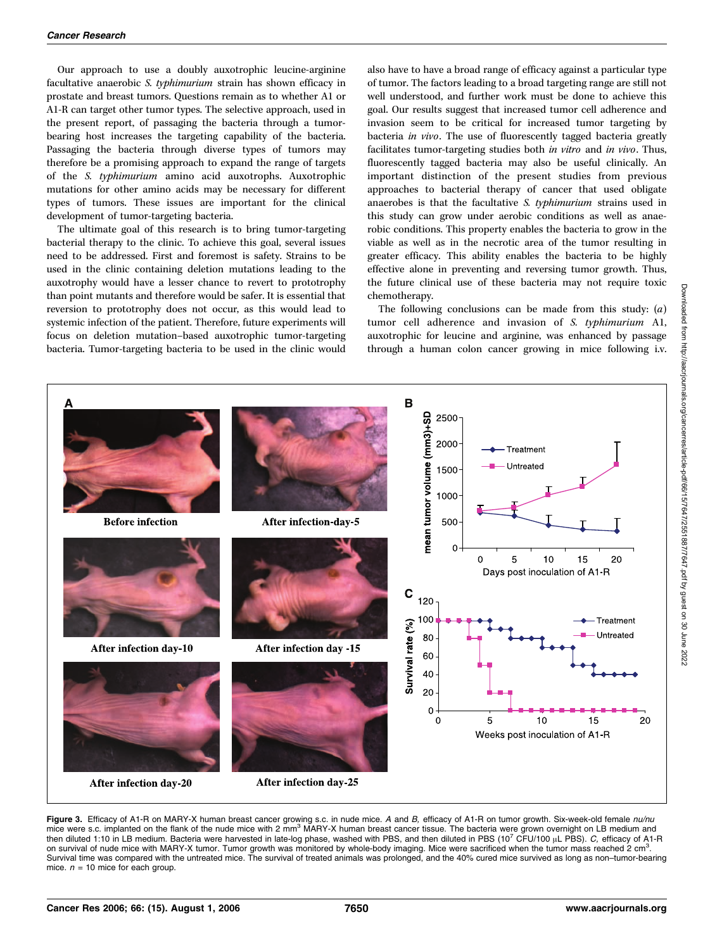Our approach to use a doubly auxotrophic leucine-arginine facultative anaerobic S. typhimurium strain has shown efficacy in prostate and breast tumors. Questions remain as to whether A1 or A1-R can target other tumor types. The selective approach, used in the present report, of passaging the bacteria through a tumorbearing host increases the targeting capability of the bacteria. Passaging the bacteria through diverse types of tumors may therefore be a promising approach to expand the range of targets of the S. typhimurium amino acid auxotrophs. Auxotrophic mutations for other amino acids may be necessary for different types of tumors. These issues are important for the clinical development of tumor-targeting bacteria.

The ultimate goal of this research is to bring tumor-targeting bacterial therapy to the clinic. To achieve this goal, several issues need to be addressed. First and foremost is safety. Strains to be used in the clinic containing deletion mutations leading to the auxotrophy would have a lesser chance to revert to prototrophy than point mutants and therefore would be safer. It is essential that reversion to prototrophy does not occur, as this would lead to systemic infection of the patient. Therefore, future experiments will focus on deletion mutation–based auxotrophic tumor-targeting bacteria. Tumor-targeting bacteria to be used in the clinic would also have to have a broad range of efficacy against a particular type of tumor. The factors leading to a broad targeting range are still not well understood, and further work must be done to achieve this goal. Our results suggest that increased tumor cell adherence and invasion seem to be critical for increased tumor targeting by bacteria in vivo. The use of fluorescently tagged bacteria greatly facilitates tumor-targeting studies both in vitro and in vivo. Thus, fluorescently tagged bacteria may also be useful clinically. An important distinction of the present studies from previous approaches to bacterial therapy of cancer that used obligate anaerobes is that the facultative S. typhimurium strains used in this study can grow under aerobic conditions as well as anaerobic conditions. This property enables the bacteria to grow in the viable as well as in the necrotic area of the tumor resulting in greater efficacy. This ability enables the bacteria to be highly effective alone in preventing and reversing tumor growth. Thus, the future clinical use of these bacteria may not require toxic chemotherapy.

The following conclusions can be made from this study:  $(a)$ tumor cell adherence and invasion of S. typhimurium A1, auxotrophic for leucine and arginine, was enhanced by passage through a human colon cancer growing in mice following i.v.



Figure 3. Efficacy of A1-R on MARY-X human breast cancer growing s.c. in nude mice. A and B, efficacy of A1-R on tumor growth. Six-week-old female nu/nu mice were s.c. implanted on the flank of the nude mice with 2 mm<sup>3</sup> MARY-X human breast cancer tissue. The bacteria were grown overnight on LB medium and then diluted 1:10 in LB medium. Bacteria were harvested in late-log phase, washed with PBS, and then diluted in PBS (10<sup>7</sup> CFU/100 µL PBS). C, efficacy of A1-R on survival of nude mice with MARY-X tumor. Tumor growth was monitored by whole-body imaging. Mice were sacrificed when the tumor mass reached 2 cm<sup>3</sup> on survival of nude mice with MARY-X tumor. Tumor growth was monitored by whole-body imaging. Mice were sacrificed when the tumor mass reached 2 cm°.<br>Survival time was compared with the untreated mice. The survival of trea mice.  $n = 10$  mice for each group.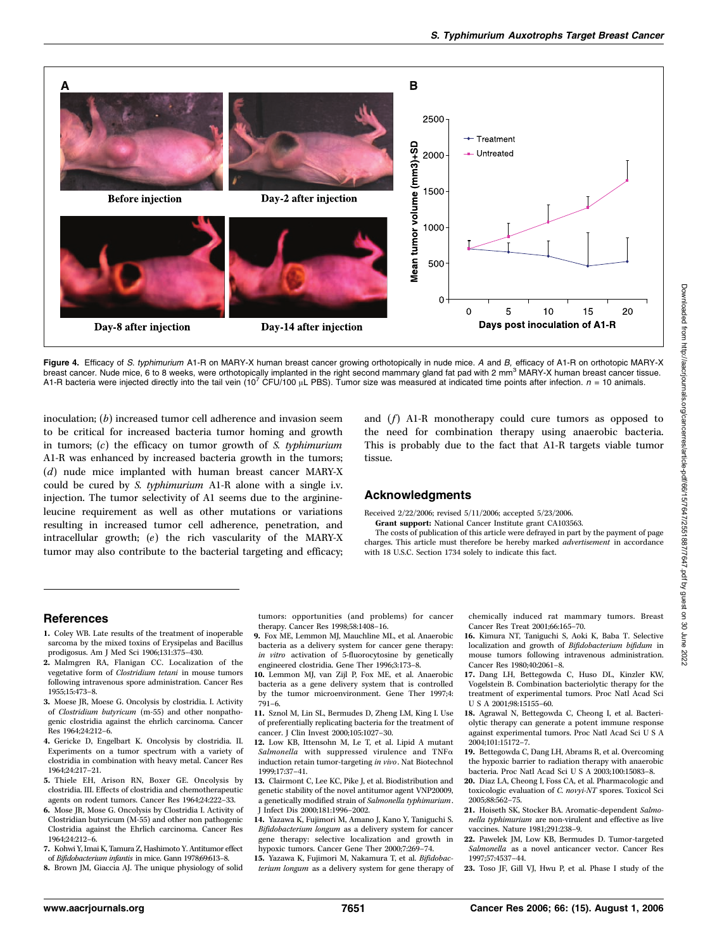

Figure 4. Efficacy of S. typhimurium A1-R on MARY-X human breast cancer growing orthotopically in nude mice. A and B, efficacy of A1-R on orthotopic MARY-X breast cancer. Nude mice, 6 to 8 weeks, were orthotopically implanted in the right second mammary gland fat pad with 2 mm<sup>3</sup> MARY-X human breast cancer tissue. A1-R bacteria were injected directly into the tail vein (10<sup>7</sup> CFU/100 µL PBS). Tumor size was measured at indicated time points after infection.  $n = 10$  animals.

inoculation; (b) increased tumor cell adherence and invasion seem to be critical for increased bacteria tumor homing and growth in tumors;  $(c)$  the efficacy on tumor growth of *S. typhimurium* A1-R was enhanced by increased bacteria growth in the tumors; (d) nude mice implanted with human breast cancer MARY-X could be cured by S. typhimurium A1-R alone with a single i.v. injection. The tumor selectivity of A1 seems due to the arginineleucine requirement as well as other mutations or variations resulting in increased tumor cell adherence, penetration, and intracellular growth; (e) the rich vascularity of the MARY-X tumor may also contribute to the bacterial targeting and efficacy; and  $(f)$  A1-R monotherapy could cure tumors as opposed to the need for combination therapy using anaerobic bacteria. This is probably due to the fact that A1-R targets viable tumor tissue.

#### Acknowledgments

Received 2/22/2006; revised 5/11/2006; accepted 5/23/2006.

Grant support: National Cancer Institute grant CA103563. The costs of publication of this article were defrayed in part by the payment of page charges. This article must therefore be hereby marked advertisement in accordance with 18 U.S.C. Section 1734 solely to indicate this fact.

#### References

- 1. Coley WB. Late results of the treatment of inoperable sarcoma by the mixed toxins of Erysipelas and Bacillus prodigosus. Am J Med Sci 1906;131:375–430.
- 2. Malmgren RA, Flanigan CC. Localization of the vegetative form of Clostridium tetani in mouse tumors following intravenous spore administration. Cancer Res 1955;15:473–8.
- 3. Moese JR, Moese G. Oncolysis by clostridia. I. Activity of Clostridium butyricum (m-55) and other nonpathogenic clostridia against the ehrlich carcinoma. Cancer Res 1964;24:212–6.
- 4. Gericke D, Engelbart K. Oncolysis by clostridia. II. Experiments on a tumor spectrum with a variety of clostridia in combination with heavy metal. Cancer Res 1964;24:217–21.
- 5. Thiele EH, Arison RN, Boxer GE. Oncolysis by clostridia. III. Effects of clostridia and chemotherapeutic agents on rodent tumors. Cancer Res 1964;24:222–33.
- 6. Mose JR, Mose G. Oncolysis by Clostridia I. Activity of Clostridian butyricum (M-55) and other non pathogenic Clostridia against the Ehrlich carcinoma. Cancer Res 1964;24:212–6.
- 7. Kohwi Y, Imai K, Tamura Z, Hashimoto Y. Antitumor effect
- of Bifidobacterium infantis in mice. Gann 1978;69:613–8.
- 8. Brown JM, Giaccia AJ. The unique physiology of solid

tumors: opportunities (and problems) for cancer therapy. Cancer Res 1998;58:1408–16.

- 9. Fox ME, Lemmon MJ, Mauchline ML, et al. Anaerobic bacteria as a delivery system for cancer gene therapy: in vitro activation of 5-fluorocytosine by genetically engineered clostridia. Gene Ther 1996;3:173–8.
- 10. Lemmon MJ, van Zijl P, Fox ME, et al. Anaerobic bacteria as a gene delivery system that is controlled by the tumor microenvironment. Gene Ther 1997;4: 791–6.
- 11. Sznol M, Lin SL, Bermudes D, Zheng LM, King I. Use of preferentially replicating bacteria for the treatment of cancer. J Clin Invest 2000;105:1027–30.
- 12. Low KB, Ittensohn M, Le T, et al. Lipid A mutant Salmonella with suppressed virulence and  $TNF\alpha$ induction retain tumor-targeting in vivo. Nat Biotechnol 1999;17:37–41.
- 13. Clairmont C, Lee KC, Pike J, et al. Biodistribution and genetic stability of the novel antitumor agent VNP20009, a genetically modified strain of Salmonella typhimurium. J Infect Dis 2000;181:1996–2002.
- 14. Yazawa K, Fujimori M, Amano J, Kano Y, Taniguchi S. Bifidobacterium longum as a delivery system for cancer gene therapy: selective localization and growth in hypoxic tumors. Cancer Gene Ther 2000;7:269–74.
- 15. Yazawa K, Fujimori M, Nakamura T, et al. Bifidobacterium longum as a delivery system for gene therapy of

chemically induced rat mammary tumors. Breast Cancer Res Treat 2001;66:165–70.

- 16. Kimura NT, Taniguchi S, Aoki K, Baba T. Selective localization and growth of Bifidobacterium bifidum in mouse tumors following intravenous administration. Cancer Res 1980;40:2061–8.
- 17. Dang LH, Bettegowda C, Huso DL, Kinzler KW, Vogelstein B. Combination bacteriolytic therapy for the treatment of experimental tumors. Proc Natl Acad Sci U S A 2001;98:15155–60.
- 18. Agrawal N, Bettegowda C, Cheong I, et al. Bacteriolytic therapy can generate a potent immune response against experimental tumors. Proc Natl Acad Sci U S A 2004;101:15172–7.
- 19. Bettegowda C, Dang LH, Abrams R, et al. Overcoming the hypoxic barrier to radiation therapy with anaerobic bacteria. Proc Natl Acad Sci U S A 2003;100:15083–8.
- 20. Diaz LA, Cheong I, Foss CA, et al. Pharmacologic and toxicologic evaluation of C. novyi-NT spores. Toxicol Sci 2005;88:562–75.
- 21. Hoiseth SK, Stocker BA. Aromatic-dependent Salmonella typhimurium are non-virulent and effective as live vaccines. Nature 1981;291:238–9.
- 22. Pawelek JM, Low KB, Bermudes D. Tumor-targeted Salmonella as a novel anticancer vector. Cancer Res 1997;57:4537–44.
- 23. Toso JF, Gill VJ, Hwu P, et al. Phase I study of the